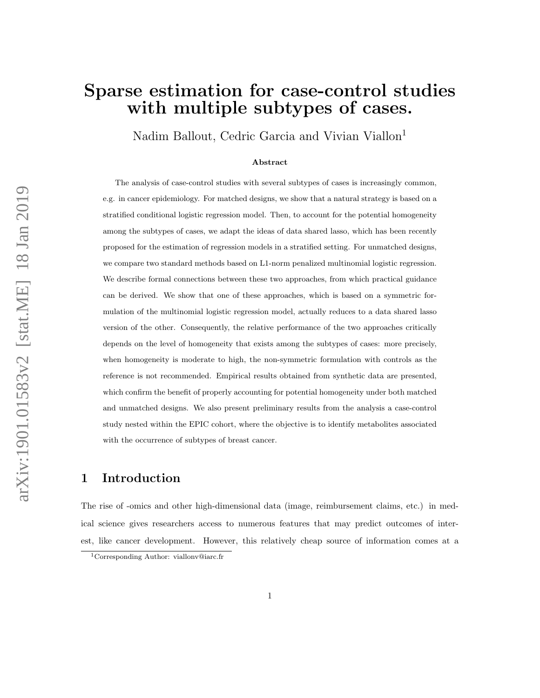# Sparse estimation for case-control studies with multiple subtypes of cases.

Nadim Ballout, Cedric Garcia and Vivian Viallon<sup>1</sup>

#### Abstract

The analysis of case-control studies with several subtypes of cases is increasingly common, e.g. in cancer epidemiology. For matched designs, we show that a natural strategy is based on a stratified conditional logistic regression model. Then, to account for the potential homogeneity among the subtypes of cases, we adapt the ideas of data shared lasso, which has been recently proposed for the estimation of regression models in a stratified setting. For unmatched designs, we compare two standard methods based on L1-norm penalized multinomial logistic regression. We describe formal connections between these two approaches, from which practical guidance can be derived. We show that one of these approaches, which is based on a symmetric formulation of the multinomial logistic regression model, actually reduces to a data shared lasso version of the other. Consequently, the relative performance of the two approaches critically depends on the level of homogeneity that exists among the subtypes of cases: more precisely, when homogeneity is moderate to high, the non-symmetric formulation with controls as the reference is not recommended. Empirical results obtained from synthetic data are presented, which confirm the benefit of properly accounting for potential homogeneity under both matched and unmatched designs. We also present preliminary results from the analysis a case-control study nested within the EPIC cohort, where the objective is to identify metabolites associated with the occurrence of subtypes of breast cancer.

## 1 Introduction

The rise of -omics and other high-dimensional data (image, reimbursement claims, etc.) in medical science gives researchers access to numerous features that may predict outcomes of interest, like cancer development. However, this relatively cheap source of information comes at a

<sup>1</sup>Corresponding Author: viallonv@iarc.fr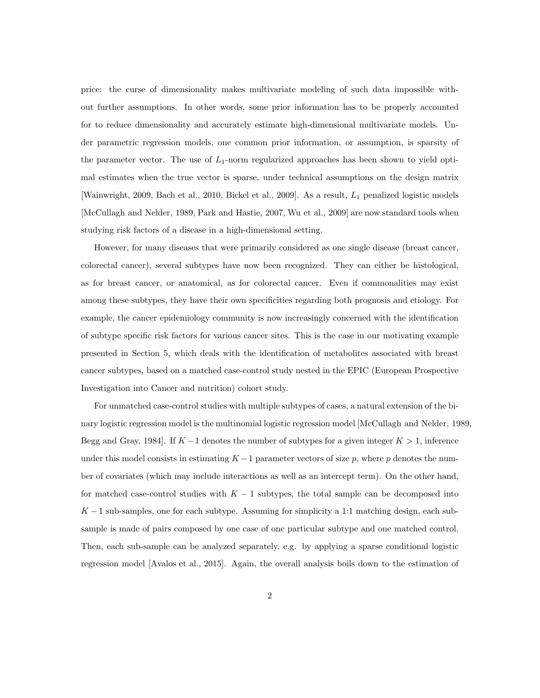price: the curse of dimensionality makes multivariate modeling of such data impossible without further assumptions. In other words, some prior information has to be properly accounted for to reduce dimensionality and accurately estimate high-dimensional multivariate models. Under parametric regression models, one common prior information, or assumption, is sparsity of the parameter vector. The use of  $L_1$ -norm regularized approaches has been shown to yield optimal estimates when the true vector is sparse, under technical assumptions on the design matrix [Wainwright, 2009, Bach et al., 2010, Bickel et al., 2009]. As a result, L<sup>1</sup> penalized logistic models [McCullagh and Nelder, 1989, Park and Hastie, 2007, Wu et al., 2009] are now standard tools when studying risk factors of a disease in a high-dimensional setting.

However, for many diseases that were primarily considered as one single disease (breast cancer, colorectal cancer), several subtypes have now been recognized. They can either be histological, as for breast cancer, or anatomical, as for colorectal cancer. Even if commonalities may exist among these subtypes, they have their own specificities regarding both prognosis and etiology. For example, the cancer epidemiology community is now increasingly concerned with the identification of subtype specific risk factors for various cancer sites. This is the case in our motivating example presented in Section 5, which deals with the identification of metabolites associated with breast cancer subtypes, based on a matched case-control study nested in the EPIC (European Prospective Investigation into Cancer and nutrition) cohort study.

For unmatched case-control studies with multiple subtypes of cases, a natural extension of the binary logistic regression model is the multinomial logistic regression model [McCullagh and Nelder, 1989, Begg and Gray, 1984]. If  $K - 1$  denotes the number of subtypes for a given integer  $K > 1$ , inference under this model consists in estimating  $K-1$  parameter vectors of size p, where p denotes the number of covariates (which may include interactions as well as an intercept term). On the other hand, for matched case-control studies with  $K - 1$  subtypes, the total sample can be decomposed into  $K-1$  sub-samples, one for each subtype. Assuming for simplicity a 1:1 matching design, each subsample is made of pairs composed by one case of one particular subtype and one matched control. Then, each sub-sample can be analyzed separately, e.g. by applying a sparse conditional logistic regression model [Avalos et al., 2015]. Again, the overall analysis boils down to the estimation of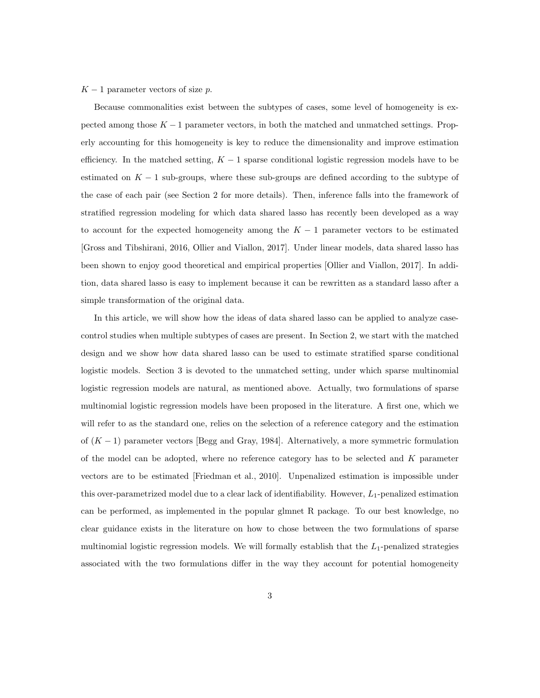#### $K-1$  parameter vectors of size p.

Because commonalities exist between the subtypes of cases, some level of homogeneity is expected among those  $K - 1$  parameter vectors, in both the matched and unmatched settings. Properly accounting for this homogeneity is key to reduce the dimensionality and improve estimation efficiency. In the matched setting,  $K - 1$  sparse conditional logistic regression models have to be estimated on  $K - 1$  sub-groups, where these sub-groups are defined according to the subtype of the case of each pair (see Section 2 for more details). Then, inference falls into the framework of stratified regression modeling for which data shared lasso has recently been developed as a way to account for the expected homogeneity among the  $K-1$  parameter vectors to be estimated [Gross and Tibshirani, 2016, Ollier and Viallon, 2017]. Under linear models, data shared lasso has been shown to enjoy good theoretical and empirical properties [Ollier and Viallon, 2017]. In addition, data shared lasso is easy to implement because it can be rewritten as a standard lasso after a simple transformation of the original data.

In this article, we will show how the ideas of data shared lasso can be applied to analyze casecontrol studies when multiple subtypes of cases are present. In Section 2, we start with the matched design and we show how data shared lasso can be used to estimate stratified sparse conditional logistic models. Section 3 is devoted to the unmatched setting, under which sparse multinomial logistic regression models are natural, as mentioned above. Actually, two formulations of sparse multinomial logistic regression models have been proposed in the literature. A first one, which we will refer to as the standard one, relies on the selection of a reference category and the estimation of  $(K - 1)$  parameter vectors [Begg and Gray, 1984]. Alternatively, a more symmetric formulation of the model can be adopted, where no reference category has to be selected and K parameter vectors are to be estimated [Friedman et al., 2010]. Unpenalized estimation is impossible under this over-parametrized model due to a clear lack of identifiability. However,  $L_1$ -penalized estimation can be performed, as implemented in the popular glmnet R package. To our best knowledge, no clear guidance exists in the literature on how to chose between the two formulations of sparse multinomial logistic regression models. We will formally establish that the  $L_1$ -penalized strategies associated with the two formulations differ in the way they account for potential homogeneity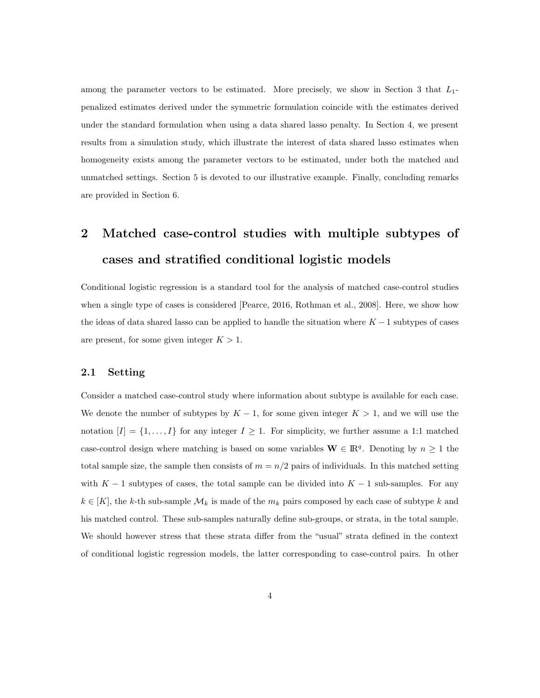among the parameter vectors to be estimated. More precisely, we show in Section 3 that  $L_1$ penalized estimates derived under the symmetric formulation coincide with the estimates derived under the standard formulation when using a data shared lasso penalty. In Section 4, we present results from a simulation study, which illustrate the interest of data shared lasso estimates when homogeneity exists among the parameter vectors to be estimated, under both the matched and unmatched settings. Section 5 is devoted to our illustrative example. Finally, concluding remarks are provided in Section 6.

# 2 Matched case-control studies with multiple subtypes of cases and stratified conditional logistic models

Conditional logistic regression is a standard tool for the analysis of matched case-control studies when a single type of cases is considered [Pearce, 2016, Rothman et al., 2008]. Here, we show how the ideas of data shared lasso can be applied to handle the situation where  $K - 1$  subtypes of cases are present, for some given integer  $K > 1$ .

#### 2.1 Setting

Consider a matched case-control study where information about subtype is available for each case. We denote the number of subtypes by  $K - 1$ , for some given integer  $K > 1$ , and we will use the notation  $[I] = \{1, ..., I\}$  for any integer  $I \geq 1$ . For simplicity, we further assume a 1:1 matched case-control design where matching is based on some variables  $\mathbf{W} \in \mathbb{R}^{q}$ . Denoting by  $n \geq 1$  the total sample size, the sample then consists of  $m = n/2$  pairs of individuals. In this matched setting with  $K - 1$  subtypes of cases, the total sample can be divided into  $K - 1$  sub-samples. For any  $k \in [K]$ , the k-th sub-sample  $\mathcal{M}_k$  is made of the  $m_k$  pairs composed by each case of subtype k and his matched control. These sub-samples naturally define sub-groups, or strata, in the total sample. We should however stress that these strata differ from the "usual" strata defined in the context of conditional logistic regression models, the latter corresponding to case-control pairs. In other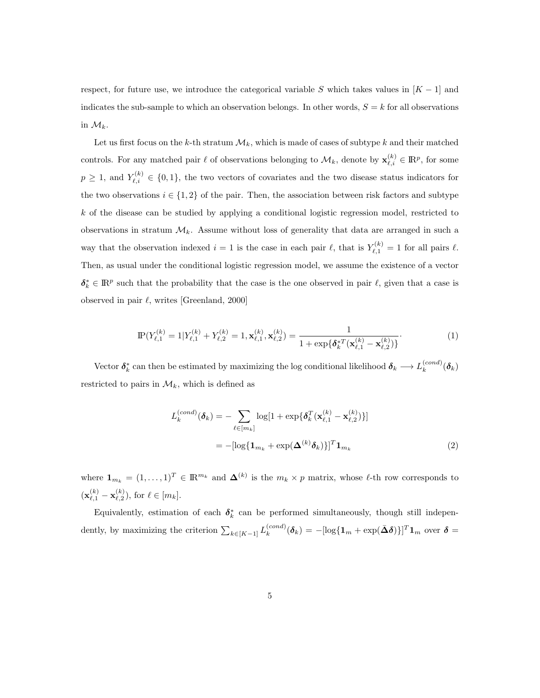respect, for future use, we introduce the categorical variable S which takes values in  $[K - 1]$  and indicates the sub-sample to which an observation belongs. In other words,  $S = k$  for all observations in  $\mathcal{M}_k$ .

Let us first focus on the k-th stratum  $\mathcal{M}_k$ , which is made of cases of subtype k and their matched controls. For any matched pair  $\ell$  of observations belonging to  $\mathcal{M}_k$ , denote by  $\mathbf{x}_{\ell,i}^{(k)} \in \mathbb{R}^p$ , for some  $p \geq 1$ , and  $Y_{\ell,i}^{(k)} \in \{0,1\}$ , the two vectors of covariates and the two disease status indicators for the two observations  $i \in \{1,2\}$  of the pair. Then, the association between risk factors and subtype  $k$  of the disease can be studied by applying a conditional logistic regression model, restricted to observations in stratum  $\mathcal{M}_k$ . Assume without loss of generality that data are arranged in such a way that the observation indexed  $i = 1$  is the case in each pair  $\ell$ , that is  $Y_{\ell,1}^{(k)} = 1$  for all pairs  $\ell$ . Then, as usual under the conditional logistic regression model, we assume the existence of a vector  $\delta_k^* \in \mathbb{R}^p$  such that the probability that the case is the one observed in pair  $\ell$ , given that a case is observed in pair  $\ell$ , writes [Greenland, 2000]

$$
\mathbb{P}(Y_{\ell,1}^{(k)} = 1 | Y_{\ell,1}^{(k)} + Y_{\ell,2}^{(k)} = 1, \mathbf{x}_{\ell,1}^{(k)}, \mathbf{x}_{\ell,2}^{(k)}) = \frac{1}{1 + \exp\{\delta_k^{*T}(\mathbf{x}_{\ell,1}^{(k)} - \mathbf{x}_{\ell,2}^{(k)})\}}.\tag{1}
$$

Vector  $\delta_k^*$  can then be estimated by maximizing the log conditional likelihood  $\delta_k \longrightarrow L_k^{(cond)}$  $_k^{(cond)}(\pmb\delta_k)$ restricted to pairs in  $\mathcal{M}_k$ , which is defined as

$$
L_k^{(cond)}(\boldsymbol{\delta}_k) = -\sum_{\ell \in [m_k]} \log[1 + \exp\{\boldsymbol{\delta}_k^T(\mathbf{x}_{\ell,1}^{(k)} - \mathbf{x}_{\ell,2}^{(k)})\}]
$$

$$
= -[\log\{\mathbf{1}_{m_k} + \exp(\boldsymbol{\Delta}^{(k)}\boldsymbol{\delta}_k)\}]^T \mathbf{1}_{m_k}
$$
(2)

where  $\mathbf{1}_{m_k} = (1, \ldots, 1)^T \in \mathbb{R}^{m_k}$  and  $\mathbf{\Delta}^{(k)}$  is the  $m_k \times p$  matrix, whose  $\ell$ -th row corresponds to  $(\mathbf{x}_{\ell,1}^{(k)}-\mathbf{x}_{\ell,2}^{(k)})$  $\binom{k}{\ell,2}$ , for  $\ell \in [m_k]$ .

Equivalently, estimation of each  $\delta_k^*$  can be performed simultaneously, though still independently, by maximizing the criterion  $\sum_{k \in [K-1]} L_k^{(cond)}$  $\delta_k^{(cond)}(\boldsymbol{\delta}_k) = -[\log\{\boldsymbol{1}_m + \exp(\bar{\boldsymbol{\Delta}}\boldsymbol{\delta})\}]^T\boldsymbol{1}_m$  over  $\boldsymbol{\delta} = 0$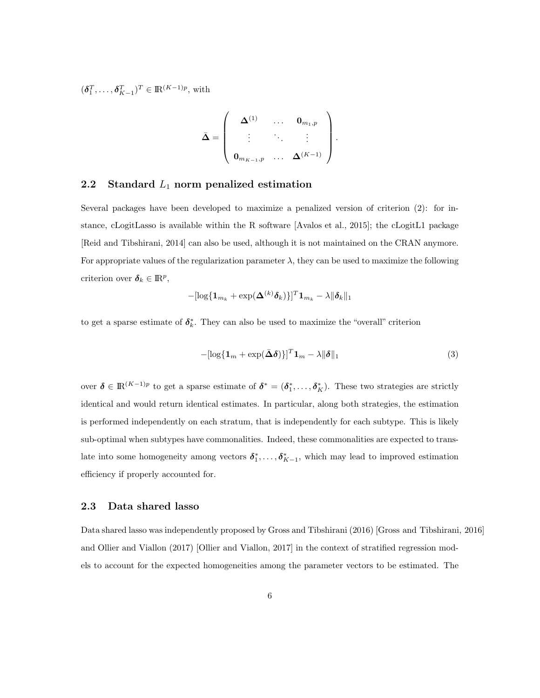$(\boldsymbol{\delta}_1^T, \ldots, \boldsymbol{\delta}_{K-1}^T)^T \in \mathbb{R}^{(K-1)p}$ , with

$$
\bar{\mathbf{\Delta}} = \left(\begin{array}{cccc} \mathbf{\Delta}^{(1)} & \cdots & \mathbf{0}_{m_1,p} \\ \vdots & \ddots & \vdots \\ \mathbf{0}_{m_{K-1},p} & \cdots & \mathbf{\Delta}^{(K-1)} \end{array}\right).
$$

### 2.2 Standard  $L_1$  norm penalized estimation

Several packages have been developed to maximize a penalized version of criterion (2): for instance, cLogitLasso is available within the R software [Avalos et al., 2015]; the cLogitL1 package [Reid and Tibshirani, 2014] can also be used, although it is not maintained on the CRAN anymore. For appropriate values of the regularization parameter  $\lambda$ , they can be used to maximize the following criterion over  $\boldsymbol{\delta}_k \in \mathbb{R}^p$ ,

$$
-[\log\{\mathbf{1}_{m_k}+\exp(\mathbf{\Delta}^{(k)}\boldsymbol{\delta}_k)\}]^T\mathbf{1}_{m_k}-\lambda\|\boldsymbol{\delta}_k\|_1
$$

to get a sparse estimate of  $\delta_k^*$ . They can also be used to maximize the "overall" criterion

$$
-[\log\{\mathbf{1}_m + \exp(\bar{\boldsymbol{\Delta}}\boldsymbol{\delta})\}]^T \mathbf{1}_m - \lambda \|\boldsymbol{\delta}\|_1
$$
\n(3)

over  $\boldsymbol{\delta} \in \mathbb{R}^{(K-1)p}$  to get a sparse estimate of  $\boldsymbol{\delta}^* = (\boldsymbol{\delta}_1^*, \ldots, \boldsymbol{\delta}_K^*)$ . These two strategies are strictly identical and would return identical estimates. In particular, along both strategies, the estimation is performed independently on each stratum, that is independently for each subtype. This is likely sub-optimal when subtypes have commonalities. Indeed, these commonalities are expected to translate into some homogeneity among vectors  $\delta_1^*, \ldots, \delta_{K-1}^*$ , which may lead to improved estimation efficiency if properly accounted for.

#### 2.3 Data shared lasso

Data shared lasso was independently proposed by Gross and Tibshirani (2016) [Gross and Tibshirani, 2016] and Ollier and Viallon (2017) [Ollier and Viallon, 2017] in the context of stratified regression models to account for the expected homogeneities among the parameter vectors to be estimated. The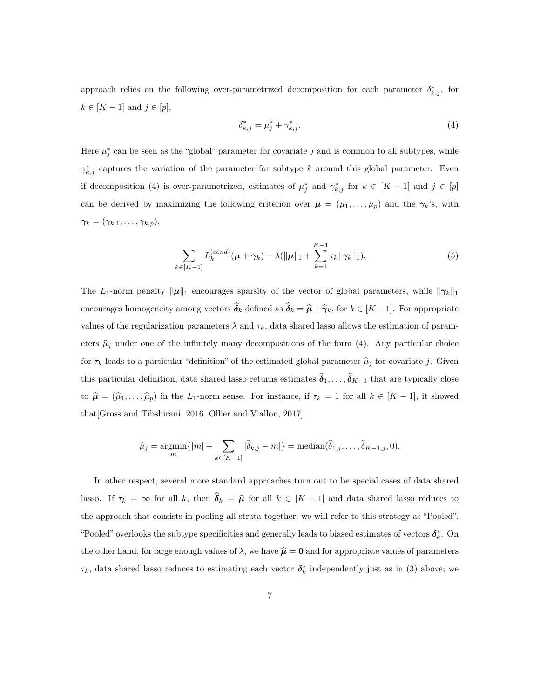approach relies on the following over-parametrized decomposition for each parameter  $\delta_{k,j}^*$ , for  $k \in [K-1]$  and  $j \in [p]$ ,

$$
\delta_{k,j}^* = \mu_j^* + \gamma_{k,j}^*.
$$
\n(4)

Here  $\mu_j^*$  can be seen as the "global" parameter for covariate j and is common to all subtypes, while  $\gamma_{k,j}^*$  captures the variation of the parameter for subtype k around this global parameter. Even if decomposition (4) is over-parametrized, estimates of  $\mu_j^*$  and  $\gamma_{k,j}^*$  for  $k \in [K-1]$  and  $j \in [p]$ can be derived by maximizing the following criterion over  $\mu = (\mu_1, \dots, \mu_p)$  and the  $\gamma_k$ 's, with  $\boldsymbol{\gamma_k} = (\gamma_{k,1}, \ldots, \gamma_{k,p}),$ 

$$
\sum_{k\in[K-1]} L_k^{(cond)}(\mu + \gamma_k) - \lambda(\|\mu\|_1 + \sum_{k=1}^{K-1} \tau_k \|\gamma_k\|_1). \tag{5}
$$

The L<sub>1</sub>-norm penalty  $\|\mu\|_1$  encourages sparsity of the vector of global parameters, while  $\|\gamma_k\|_1$ encourages homogeneity among vectors  $\widehat{\boldsymbol{\delta}}_k$  defined as  $\widehat{\boldsymbol{\delta}}_k = \widehat{\boldsymbol{\mu}} + \widehat{\boldsymbol{\gamma}}_k$ , for  $k \in [K-1]$ . For appropriate values of the regularization parameters  $\lambda$  and  $\tau_k$ , data shared lasso allows the estimation of parameters  $\hat{\mu}_j$  under one of the infinitely many decompositions of the form (4). Any particular choice for  $\tau_k$  leads to a particular "definition" of the estimated global parameter  $\hat{\mu}_j$  for covariate j. Given this particular definition, data shared lasso returns estimates  $\widehat{\delta}_1, \ldots, \widehat{\delta}_{K-1}$  that are typically close to  $\hat{\mu} = (\hat{\mu}_1, \dots, \hat{\mu}_p)$  in the L<sub>1</sub>-norm sense. For instance, if  $\tau_k = 1$  for all  $k \in [K-1]$ , it showed that[Gross and Tibshirani, 2016, Ollier and Viallon, 2017]

$$
\widehat{\mu}_j = \underset{m}{\operatorname{argmin}} \{ |m| + \sum_{k \in [K-1]} |\widehat{\delta}_{k,j} - m| \} = \text{median}(\widehat{\delta}_{1,j}, \dots, \widehat{\delta}_{K-1,j}, 0).
$$

In other respect, several more standard approaches turn out to be special cases of data shared lasso. If  $\tau_k = \infty$  for all k, then  $\hat{\delta}_k = \hat{\mu}$  for all  $k \in [K - 1]$  and data shared lasso reduces to the approach that consists in pooling all strata together; we will refer to this strategy as "Pooled". "Pooled" overlooks the subtype specificities and generally leads to biased estimates of vectors  $\delta_k^*$ . On the other hand, for large enough values of  $\lambda$ , we have  $\hat{\mu} = 0$  and for appropriate values of parameters  $\tau_k$ , data shared lasso reduces to estimating each vector  $\delta_k^*$  independently just as in (3) above; we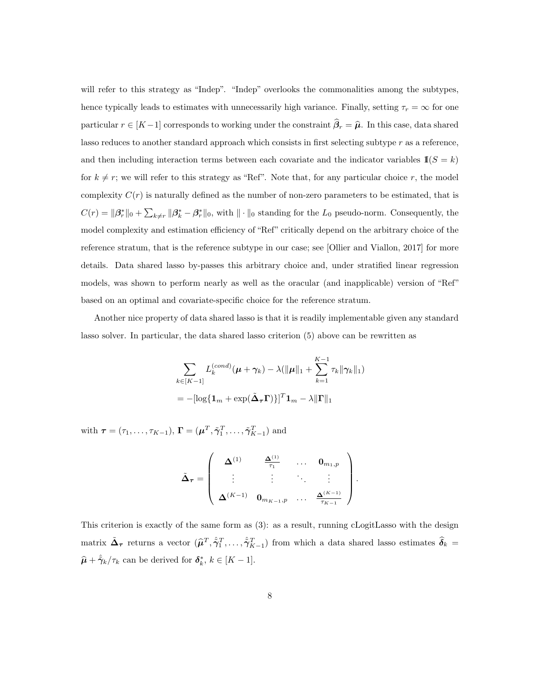will refer to this strategy as "Indep". "Indep" overlooks the commonalities among the subtypes, hence typically leads to estimates with unnecessarily high variance. Finally, setting  $\tau_r = \infty$  for one particular  $r \in [K-1]$  corresponds to working under the constraint  $\hat{\beta}_r = \hat{\mu}$ . In this case, data shared lasso reduces to another standard approach which consists in first selecting subtype  $r$  as a reference, and then including interaction terms between each covariate and the indicator variables  $\mathbb{I}(S = k)$ for  $k \neq r$ ; we will refer to this strategy as "Ref". Note that, for any particular choice r, the model complexity  $C(r)$  is naturally defined as the number of non-zero parameters to be estimated, that is  $C(r) = ||\beta_r^*||_0 + \sum_{k \neq r} ||\beta_k^* - \beta_r^*||_0$ , with  $|| \cdot ||_0$  standing for the  $L_0$  pseudo-norm. Consequently, the model complexity and estimation efficiency of "Ref" critically depend on the arbitrary choice of the reference stratum, that is the reference subtype in our case; see [Ollier and Viallon, 2017] for more details. Data shared lasso by-passes this arbitrary choice and, under stratified linear regression models, was shown to perform nearly as well as the oracular (and inapplicable) version of "Ref" based on an optimal and covariate-specific choice for the reference stratum.

Another nice property of data shared lasso is that it is readily implementable given any standard lasso solver. In particular, the data shared lasso criterion (5) above can be rewritten as

$$
\sum_{k \in [K-1]} L_k^{(cond)}(\boldsymbol{\mu} + \boldsymbol{\gamma}_k) - \lambda(||\boldsymbol{\mu}||_1 + \sum_{k=1}^{K-1} \tau_k ||\boldsymbol{\gamma}_k||_1)
$$
  
= 
$$
-[\log\{\mathbf{1}_m + \exp(\tilde{\boldsymbol{\Delta}}_{\boldsymbol{\tau}}\boldsymbol{\Gamma})\}]^T \mathbf{1}_m - \lambda ||\boldsymbol{\Gamma}||_1
$$

with  $\boldsymbol{\tau} = (\tau_1, \dots, \tau_{K-1}), \, \boldsymbol{\Gamma} = (\boldsymbol{\mu}^T, \tilde{\gamma}_1^T, \dots, \tilde{\gamma}_{K-1}^T)$  and

$$
\tilde{\mathbf{\Delta}}_{\boldsymbol{\tau}} = \left(\begin{array}{cccc} \boldsymbol{\Delta}^{(1)} & \frac{\boldsymbol{\Delta}^{(1)}}{\tau_1} & \dots & \mathbf{0}_{m_1,p} \\ \vdots & \vdots & \ddots & \vdots \\ \boldsymbol{\Delta}^{(K-1)} & \mathbf{0}_{m_{K-1},p} & \dots & \frac{\boldsymbol{\Delta}^{(K-1)}}{\tau_{K-1}} \end{array}\right).
$$

This criterion is exactly of the same form as (3): as a result, running cLogitLasso with the design matrix  $\tilde{\mathbf{\Delta}}_{\tau}$  returns a vector  $(\hat{\mu}^T, \hat{\tilde{\gamma}}_1^T, \dots, \hat{\tilde{\gamma}}_{K-1}^T)$  from which a data shared lasso estimates  $\hat{\delta}_k =$  $\hat{\mu} + \hat{\tilde{\gamma}}_k/\tau_k$  can be derived for  $\delta_k^*, k \in [K - 1]$ .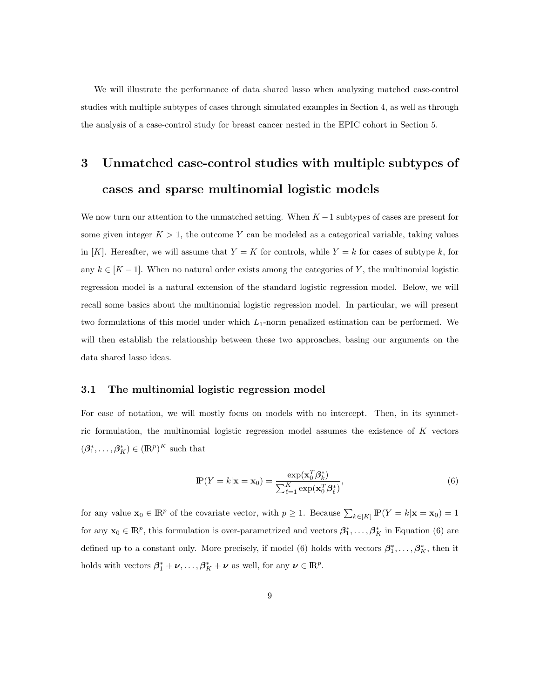We will illustrate the performance of data shared lasso when analyzing matched case-control studies with multiple subtypes of cases through simulated examples in Section 4, as well as through the analysis of a case-control study for breast cancer nested in the EPIC cohort in Section 5.

# 3 Unmatched case-control studies with multiple subtypes of cases and sparse multinomial logistic models

We now turn our attention to the unmatched setting. When  $K-1$  subtypes of cases are present for some given integer  $K > 1$ , the outcome Y can be modeled as a categorical variable, taking values in [K]. Hereafter, we will assume that  $Y = K$  for controls, while  $Y = k$  for cases of subtype k, for any  $k \in [K-1]$ . When no natural order exists among the categories of Y, the multinomial logistic regression model is a natural extension of the standard logistic regression model. Below, we will recall some basics about the multinomial logistic regression model. In particular, we will present two formulations of this model under which  $L_1$ -norm penalized estimation can be performed. We will then establish the relationship between these two approaches, basing our arguments on the data shared lasso ideas.

### 3.1 The multinomial logistic regression model

For ease of notation, we will mostly focus on models with no intercept. Then, in its symmetric formulation, the multinomial logistic regression model assumes the existence of  $K$  vectors  $(\beta_1^*, \ldots, \beta_K^*) \in (\mathbb{R}^p)^K$  such that

$$
\mathbf{P}(Y=k|\mathbf{x}=\mathbf{x}_0) = \frac{\exp(\mathbf{x}_0^T \boldsymbol{\beta}_k^*)}{\sum_{\ell=1}^K \exp(\mathbf{x}_0^T \boldsymbol{\beta}_\ell^*)},\tag{6}
$$

for any value  $\mathbf{x}_0 \in \mathbb{R}^p$  of the covariate vector, with  $p \geq 1$ . Because  $\sum_{k \in [K]} \mathbb{P}(Y = k | \mathbf{x} = \mathbf{x}_0) = 1$ for any  $\mathbf{x}_0 \in \mathbb{R}^p$ , this formulation is over-parametrized and vectors  $\beta_1^*, \ldots, \beta_K^*$  in Equation (6) are defined up to a constant only. More precisely, if model (6) holds with vectors  $\beta_1^*, \ldots, \beta_K^*$ , then it holds with vectors  $\beta_1^* + \nu, \ldots, \beta_K^* + \nu$  as well, for any  $\nu \in \mathbb{R}^p$ .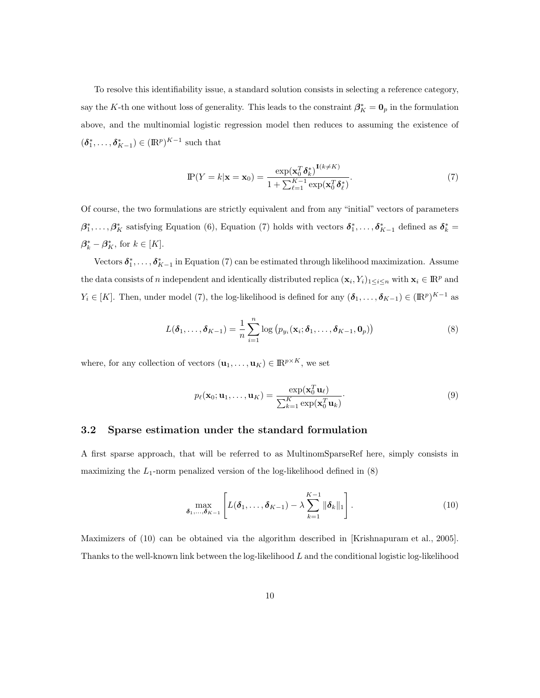To resolve this identifiability issue, a standard solution consists in selecting a reference category, say the K-th one without loss of generality. This leads to the constraint  $\beta_K^* = \mathbf{0}_p$  in the formulation above, and the multinomial logistic regression model then reduces to assuming the existence of  $(\delta_1^*, \ldots, \delta_{K-1}^*) \in (\mathbb{R}^p)^{K-1}$  such that

$$
\mathbf{P}(Y=k|\mathbf{x}=\mathbf{x}_0) = \frac{\exp(\mathbf{x}_0^T \boldsymbol{\delta}_k^*)^{\mathbf{1}(k\neq K)}}{1 + \sum_{\ell=1}^{K-1} \exp(\mathbf{x}_0^T \boldsymbol{\delta}_\ell^*)}.\tag{7}
$$

Of course, the two formulations are strictly equivalent and from any "initial" vectors of parameters  $\beta_1^*,\ldots,\beta_K^*$  satisfying Equation (6), Equation (7) holds with vectors  $\delta_1^*,\ldots,\delta_{K-1}^*$  defined as  $\delta_k^*$  =  $\beta_k^* - \beta_K^*$ , for  $k \in [K]$ .

Vectors  $\delta_1^*, \ldots, \delta_{K-1}^*$  in Equation (7) can be estimated through likelihood maximization. Assume the data consists of n independent and identically distributed replica  $(\mathbf{x}_i, Y_i)_{1 \leq i \leq n}$  with  $\mathbf{x}_i \in \mathbb{R}^p$  and  $Y_i \in [K]$ . Then, under model (7), the log-likelihood is defined for any  $(\boldsymbol{\delta}_1, \ldots, \boldsymbol{\delta}_{K-1}) \in (\mathbb{R}^p)^{K-1}$  as

$$
L(\boldsymbol{\delta}_1,\ldots,\boldsymbol{\delta}_{K-1})=\frac{1}{n}\sum_{i=1}^n\log\big(p_{y_i}(\mathbf{x}_i;\boldsymbol{\delta}_1,\ldots,\boldsymbol{\delta}_{K-1},\mathbf{0}_p)\big)
$$
(8)

where, for any collection of vectors  $(\mathbf{u}_1, \dots, \mathbf{u}_K) \in \mathbb{R}^{p \times K}$ , we set

$$
p_{\ell}(\mathbf{x}_0; \mathbf{u}_1, \dots, \mathbf{u}_K) = \frac{\exp(\mathbf{x}_0^T \mathbf{u}_{\ell})}{\sum_{k=1}^K \exp(\mathbf{x}_0^T \mathbf{u}_k)}.
$$
(9)

#### 3.2 Sparse estimation under the standard formulation

A first sparse approach, that will be referred to as MultinomSparseRef here, simply consists in maximizing the  $L_1$ -norm penalized version of the log-likelihood defined in  $(8)$ 

$$
\max_{\boldsymbol{\delta}_1,\ldots,\boldsymbol{\delta}_{K-1}} \left[ L(\boldsymbol{\delta}_1,\ldots,\boldsymbol{\delta}_{K-1}) - \lambda \sum_{k=1}^{K-1} \|\boldsymbol{\delta}_k\|_1 \right]. \tag{10}
$$

Maximizers of (10) can be obtained via the algorithm described in [Krishnapuram et al., 2005]. Thanks to the well-known link between the log-likelihood L and the conditional logistic log-likelihood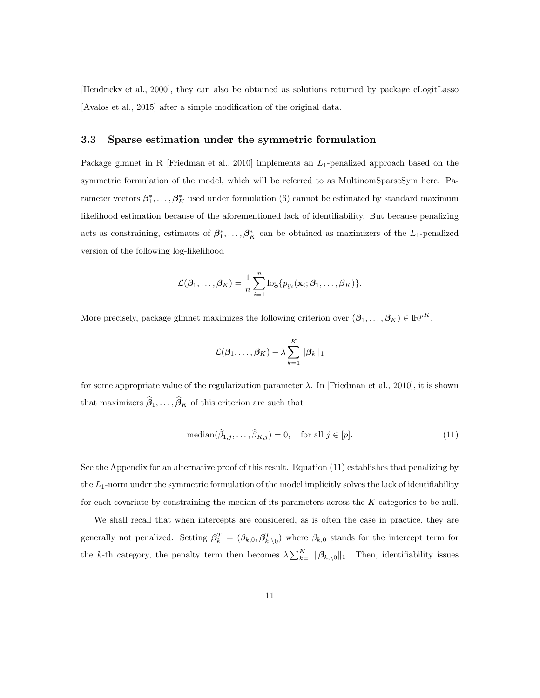[Hendrickx et al., 2000], they can also be obtained as solutions returned by package cLogitLasso [Avalos et al., 2015] after a simple modification of the original data.

#### 3.3 Sparse estimation under the symmetric formulation

Package glmnet in R [Friedman et al., 2010] implements an  $L_1$ -penalized approach based on the symmetric formulation of the model, which will be referred to as MultinomSparseSym here. Parameter vectors  $\beta_1^*, \ldots, \beta_K^*$  used under formulation (6) cannot be estimated by standard maximum likelihood estimation because of the aforementioned lack of identifiability. But because penalizing acts as constraining, estimates of  $\beta_1^*, \ldots, \beta_K^*$  can be obtained as maximizers of the  $L_1$ -penalized version of the following log-likelihood

$$
\mathcal{L}(\boldsymbol{\beta}_1,\ldots,\boldsymbol{\beta}_K)=\frac{1}{n}\sum_{i=1}^n\log\{p_{y_i}(\mathbf{x}_i;\boldsymbol{\beta}_1,\ldots,\boldsymbol{\beta}_K)\}.
$$

More precisely, package glmnet maximizes the following criterion over  $(\beta_1, \ldots, \beta_K) \in \mathbb{R}^{pK}$ ,

$$
\mathcal{L}(\boldsymbol{\beta}_1,\ldots,\boldsymbol{\beta}_K) - \lambda \sum_{k=1}^K \|\boldsymbol{\beta}_k\|_1
$$

for some appropriate value of the regularization parameter  $\lambda$ . In [Friedman et al., 2010], it is shown that maximizers  $\widehat{\beta}_1, \ldots, \widehat{\beta}_K$  of this criterion are such that

$$
\text{median}(\widehat{\beta}_{1,j}, \dots, \widehat{\beta}_{K,j}) = 0, \quad \text{for all } j \in [p]. \tag{11}
$$

See the Appendix for an alternative proof of this result. Equation (11) establishes that penalizing by the  $L_1$ -norm under the symmetric formulation of the model implicitly solves the lack of identifiability for each covariate by constraining the median of its parameters across the  $K$  categories to be null.

We shall recall that when intercepts are considered, as is often the case in practice, they are generally not penalized. Setting  $\beta_k^T = (\beta_{k,0}, \beta_{k,0}^T)$  where  $\beta_{k,0}$  stands for the intercept term for the k-th category, the penalty term then becomes  $\lambda \sum_{k=1}^{K} ||\boldsymbol{\beta}_{k,\setminus 0}||_1$ . Then, identifiability issues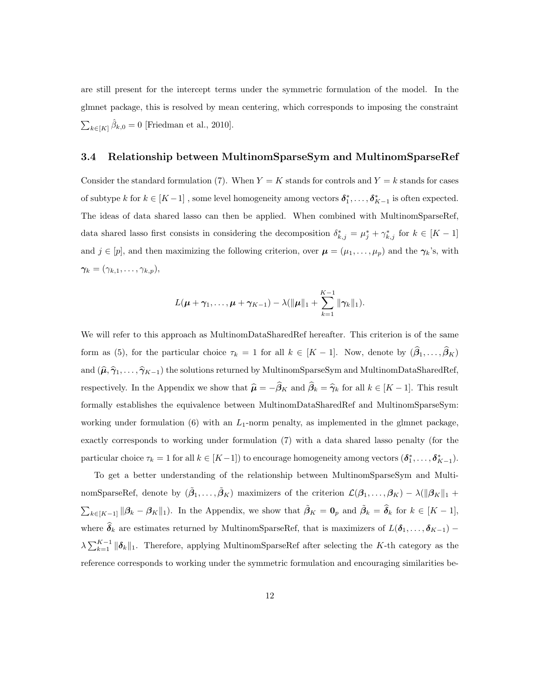are still present for the intercept terms under the symmetric formulation of the model. In the glmnet package, this is resolved by mean centering, which corresponds to imposing the constraint  $\sum_{k\in[K]}\hat{\beta}_{k,0}=0$  [Friedman et al., 2010].

#### 3.4 Relationship between MultinomSparseSym and MultinomSparseRef

Consider the standard formulation (7). When  $Y = K$  stands for controls and  $Y = k$  stands for cases of subtype k for  $k \in [K-1]$ , some level homogeneity among vectors  $\delta_1^*, \ldots, \delta_{K-1}^*$  is often expected. The ideas of data shared lasso can then be applied. When combined with MultinomSparseRef, data shared lasso first consists in considering the decomposition  $\delta_{k,j}^* = \mu_j^* + \gamma_{k,j}^*$  for  $k \in [K-1]$ and  $j \in [p]$ , and then maximizing the following criterion, over  $\boldsymbol{\mu} = (\mu_1, \dots, \mu_p)$  and the  $\boldsymbol{\gamma}_k$ 's, with  $\boldsymbol{\gamma_k} = (\gamma_{k,1}, \ldots, \gamma_{k,p}),$ 

$$
L(\mu + \gamma_1, \ldots, \mu + \gamma_{K-1}) - \lambda (\|\mu\|_1 + \sum_{k=1}^{K-1} \|\gamma_k\|_1).
$$

We will refer to this approach as MultinomDataSharedRef hereafter. This criterion is of the same form as (5), for the particular choice  $\tau_k = 1$  for all  $k \in [K-1]$ . Now, denote by  $(\hat{\beta}_1, \ldots, \hat{\beta}_K)$ and  $(\hat{\mu}, \hat{\gamma}_1, \ldots, \hat{\gamma}_{K-1})$  the solutions returned by MultinomSparseSym and MultinomDataSharedRef, respectively. In the Appendix we show that  $\hat{\mu} = -\hat{\beta}_K$  and  $\hat{\beta}_k = \hat{\gamma}_k$  for all  $k \in [K - 1]$ . This result formally establishes the equivalence between MultinomDataSharedRef and MultinomSparseSym: working under formulation (6) with an  $L_1$ -norm penalty, as implemented in the glmnet package, exactly corresponds to working under formulation (7) with a data shared lasso penalty (for the particular choice  $\tau_k = 1$  for all  $k \in [K-1]$ ) to encourage homogeneity among vectors  $(\boldsymbol{\delta}_1^*, \ldots, \boldsymbol{\delta}_{K-1}^*)$ .

To get a better understanding of the relationship between MultinomSparseSym and MultinomSparseRef, denote by  $(\tilde{\beta}_1,\ldots,\tilde{\beta}_K)$  maximizers of the criterion  $\mathcal{L}(\beta_1,\ldots,\beta_K) - \lambda(\|\beta_K\|_1 +$  $\sum_{k\in[K-1]} \|\beta_k - \beta_K\|_1$ ). In the Appendix, we show that  $\tilde{\beta}_K = \mathbf{0}_p$  and  $\tilde{\beta}_k = \hat{\delta}_k$  for  $k \in [K-1]$ , where  $\hat{\delta}_k$  are estimates returned by MultinomSparseRef, that is maximizers of  $L(\delta_1, \ldots, \delta_{K-1})$  –  $\lambda \sum_{k=1}^{K-1} \|\boldsymbol{\delta}_k\|_1$ . Therefore, applying MultinomSparseRef after selecting the K-th category as the reference corresponds to working under the symmetric formulation and encouraging similarities be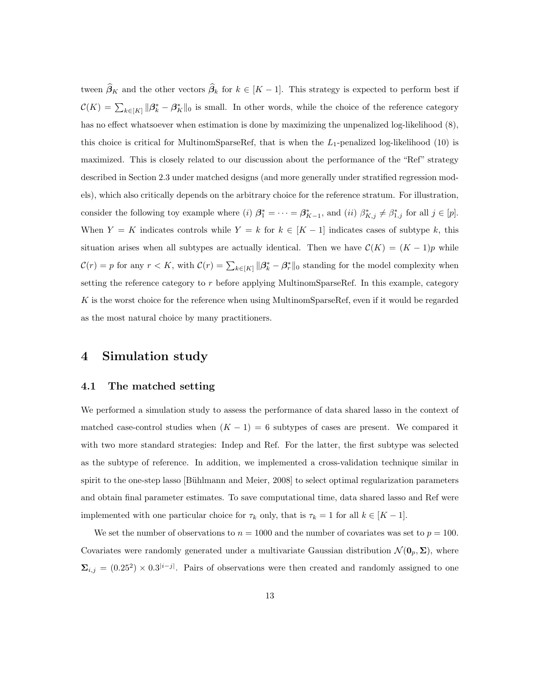tween  $\widehat{\beta}_K$  and the other vectors  $\widehat{\beta}_k$  for  $k \in [K-1]$ . This strategy is expected to perform best if  $\mathcal{C}(K) = \sum_{k \in [K]} ||\beta_k^* - \beta_K^*||_0$  is small. In other words, while the choice of the reference category has no effect whatsoever when estimation is done by maximizing the unpenalized log-likelihood (8), this choice is critical for MultinomSparseRef, that is when the  $L_1$ -penalized log-likelihood (10) is maximized. This is closely related to our discussion about the performance of the "Ref" strategy described in Section 2.3 under matched designs (and more generally under stratified regression models), which also critically depends on the arbitrary choice for the reference stratum. For illustration, consider the following toy example where (i)  $\beta_1^* = \cdots = \beta_{K-1}^*$ , and (ii)  $\beta_{K,j}^* \neq \beta_{1,j}^*$  for all  $j \in [p]$ . When  $Y = K$  indicates controls while  $Y = k$  for  $k \in [K - 1]$  indicates cases of subtype k, this situation arises when all subtypes are actually identical. Then we have  $\mathcal{C}(K) = (K-1)p$  while  $\mathcal{C}(r) = p$  for any  $r < K$ , with  $\mathcal{C}(r) = \sum_{k \in [K]} ||\beta_k^* - \beta_r^*||_0$  standing for the model complexity when setting the reference category to  $r$  before applying MultinomSparseRef. In this example, category  $K$  is the worst choice for the reference when using MultinomSparseRef, even if it would be regarded as the most natural choice by many practitioners.

## 4 Simulation study

#### 4.1 The matched setting

We performed a simulation study to assess the performance of data shared lasso in the context of matched case-control studies when  $(K - 1) = 6$  subtypes of cases are present. We compared it with two more standard strategies: Indep and Ref. For the latter, the first subtype was selected as the subtype of reference. In addition, we implemented a cross-validation technique similar in spirit to the one-step lasso [Bühlmann and Meier, 2008] to select optimal regularization parameters and obtain final parameter estimates. To save computational time, data shared lasso and Ref were implemented with one particular choice for  $\tau_k$  only, that is  $\tau_k = 1$  for all  $k \in [K - 1]$ .

We set the number of observations to  $n = 1000$  and the number of covariates was set to  $p = 100$ . Covariates were randomly generated under a multivariate Gaussian distribution  $\mathcal{N}(\mathbf{0}_p, \Sigma)$ , where  $\Sigma_{i,j} = (0.25^2) \times 0.3^{|i-j|}$ . Pairs of observations were then created and randomly assigned to one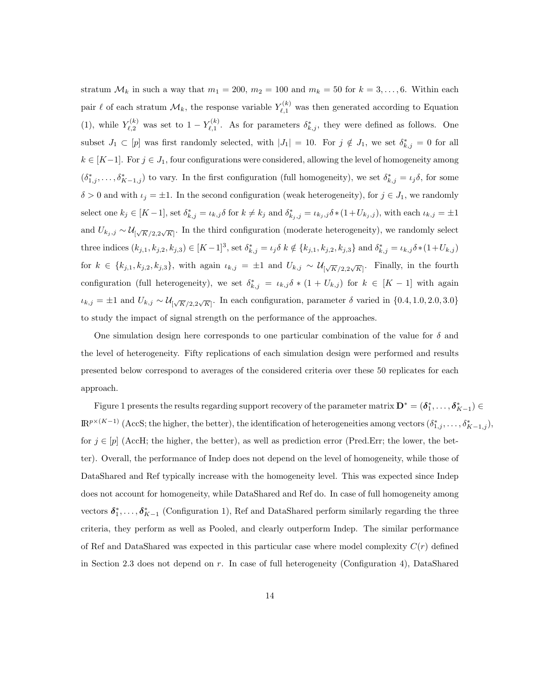stratum  $\mathcal{M}_k$  in such a way that  $m_1 = 200$ ,  $m_2 = 100$  and  $m_k = 50$  for  $k = 3, \ldots, 6$ . Within each pair  $\ell$  of each stratum  $\mathcal{M}_k$ , the response variable  $Y_{\ell,1}^{(k)}$  was then generated according to Equation (1), while  $Y_{\ell,2}^{(k)}$  was set to  $1 - Y_{\ell,1}^{(k)}$  $\mathcal{L}_{\ell,1}^{(k)}$ . As for parameters  $\delta_{k,j}^*$ , they were defined as follows. One subset  $J_1 \subset [p]$  was first randomly selected, with  $|J_1| = 10$ . For  $j \notin J_1$ , we set  $\delta_{k,j}^* = 0$  for all  $k \in [K-1]$ . For  $j \in J_1$ , four configurations were considered, allowing the level of homogeneity among  $(\delta_{1,j}^*,\ldots,\delta_{K-1,j}^*)$  to vary. In the first configuration (full homogeneity), we set  $\delta_{k,j}^* = \iota_j \delta$ , for some  $\delta > 0$  and with  $\iota_j = \pm 1$ . In the second configuration (weak heterogeneity), for  $j \in J_1$ , we randomly select one  $k_j \in [K-1]$ , set  $\delta_{k,j}^* = \iota_{k,j} \delta$  for  $k \neq k_j$  and  $\delta_{k_j,j}^* = \iota_{k_j,j} \delta * (1 + U_{k_j,j})$ , with each  $\iota_{k,j} = \pm 1$ and  $U_{k_j,j} \sim \mathcal{U}_{\lceil \sqrt{K}/2,2\sqrt{K} \rceil}$ . In the third configuration (moderate heterogeneity), we randomly select three indices  $(k_{j,1}, k_{j,2}, k_{j,3}) \in [K-1]^3$ , set  $\delta_{k,j}^* = \iota_j \delta \kappa \notin \{k_{j,1}, k_{j,2}, k_{j,3}\}$  and  $\delta_{k,j}^* = \iota_{k,j} \delta * (1 + U_{k,j})$ for  $k \in \{k_{j,1}, k_{j,2}, k_{j,3}\},\$  with again  $\iota_{k,j} = \pm 1$  and  $U_{k,j} \sim \mathcal{U}_{\lceil \sqrt{K}/2, 2\sqrt{K} \rceil}$ . Finally, in the fourth configuration (full heterogeneity), we set  $\delta_{k,j}^* = \iota_{k,j} \delta * (1 + U_{k,j})$  for  $k \in [K-1]$  with again  $\iota_{k,j} = \pm 1$  and  $U_{k,j} \sim \mathcal{U}_{\left[\sqrt{K}/2, 2\sqrt{K}\right]}$ . In each configuration, parameter  $\delta$  varied in  $\{0.4, 1.0, 2.0, 3.0\}$ to study the impact of signal strength on the performance of the approaches.

One simulation design here corresponds to one particular combination of the value for  $\delta$  and the level of heterogeneity. Fifty replications of each simulation design were performed and results presented below correspond to averages of the considered criteria over these 50 replicates for each approach.

Figure 1 presents the results regarding support recovery of the parameter matrix  $D^* = (\delta_1^*, \ldots, \delta_{K-1}^*) \in$  $\mathbb{R}^{p\times (K-1)}$  (AccS; the higher, the better), the identification of heterogeneities among vectors  $(\delta_{1,j}^*,\ldots,\delta_{K-1,j}^*)$ , for  $j \in [p]$  (AccH; the higher, the better), as well as prediction error (Pred.Err; the lower, the better). Overall, the performance of Indep does not depend on the level of homogeneity, while those of DataShared and Ref typically increase with the homogeneity level. This was expected since Indep does not account for homogeneity, while DataShared and Ref do. In case of full homogeneity among vectors  $\delta_1^*, \ldots, \delta_{K-1}^*$  (Configuration 1), Ref and DataShared perform similarly regarding the three criteria, they perform as well as Pooled, and clearly outperform Indep. The similar performance of Ref and DataShared was expected in this particular case where model complexity  $C(r)$  defined in Section 2.3 does not depend on r. In case of full heterogeneity (Configuration 4), DataShared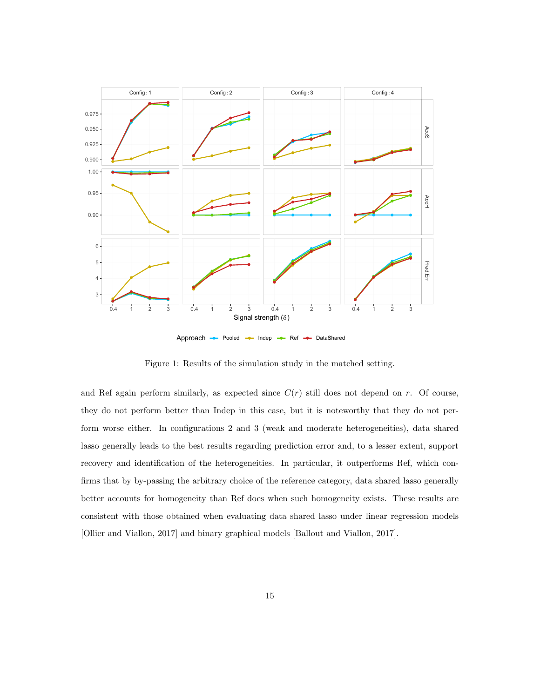

Approach - Pooled - Indep - Ref - DataShared

Figure 1: Results of the simulation study in the matched setting.

and Ref again perform similarly, as expected since  $C(r)$  still does not depend on r. Of course, they do not perform better than Indep in this case, but it is noteworthy that they do not perform worse either. In configurations 2 and 3 (weak and moderate heterogeneities), data shared lasso generally leads to the best results regarding prediction error and, to a lesser extent, support recovery and identification of the heterogeneities. In particular, it outperforms Ref, which confirms that by by-passing the arbitrary choice of the reference category, data shared lasso generally better accounts for homogeneity than Ref does when such homogeneity exists. These results are consistent with those obtained when evaluating data shared lasso under linear regression models [Ollier and Viallon, 2017] and binary graphical models [Ballout and Viallon, 2017].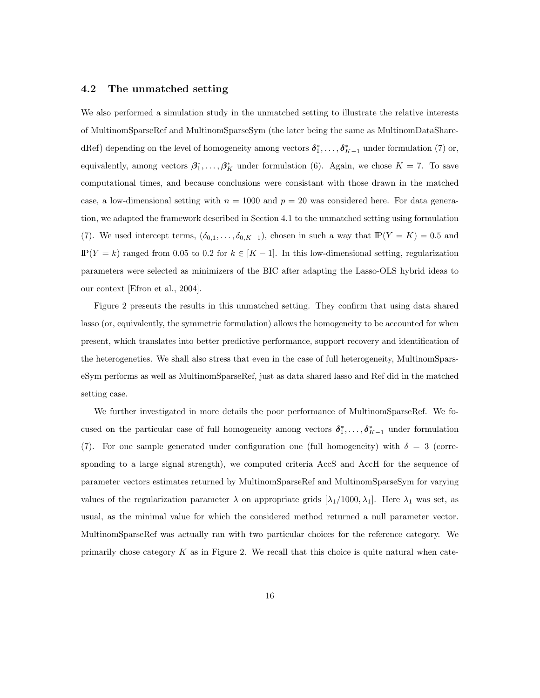#### 4.2 The unmatched setting

We also performed a simulation study in the unmatched setting to illustrate the relative interests of MultinomSparseRef and MultinomSparseSym (the later being the same as MultinomDataSharedRef) depending on the level of homogeneity among vectors  $\delta_1^*, \ldots, \delta_{K-1}^*$  under formulation (7) or, equivalently, among vectors  $\beta_1^*, \ldots, \beta_K^*$  under formulation (6). Again, we chose  $K = 7$ . To save computational times, and because conclusions were consistant with those drawn in the matched case, a low-dimensional setting with  $n = 1000$  and  $p = 20$  was considered here. For data generation, we adapted the framework described in Section 4.1 to the unmatched setting using formulation (7). We used intercept terms,  $(\delta_{0,1}, \ldots, \delta_{0,K-1})$ , chosen in such a way that  $\mathbb{P}(Y = K) = 0.5$  and  $IP(Y = k)$  ranged from 0.05 to 0.2 for  $k \in [K - 1]$ . In this low-dimensional setting, regularization parameters were selected as minimizers of the BIC after adapting the Lasso-OLS hybrid ideas to our context [Efron et al., 2004].

Figure 2 presents the results in this unmatched setting. They confirm that using data shared lasso (or, equivalently, the symmetric formulation) allows the homogeneity to be accounted for when present, which translates into better predictive performance, support recovery and identification of the heterogeneties. We shall also stress that even in the case of full heterogeneity, MultinomSparseSym performs as well as MultinomSparseRef, just as data shared lasso and Ref did in the matched setting case.

We further investigated in more details the poor performance of MultinomSparseRef. We focused on the particular case of full homogeneity among vectors  $\delta_1^*, \ldots, \delta_{K-1}^*$  under formulation (7). For one sample generated under configuration one (full homogeneity) with  $\delta = 3$  (corresponding to a large signal strength), we computed criteria AccS and AccH for the sequence of parameter vectors estimates returned by MultinomSparseRef and MultinomSparseSym for varying values of the regularization parameter  $\lambda$  on appropriate grids  $[\lambda_1/1000, \lambda_1]$ . Here  $\lambda_1$  was set, as usual, as the minimal value for which the considered method returned a null parameter vector. MultinomSparseRef was actually ran with two particular choices for the reference category. We primarily chose category  $K$  as in Figure 2. We recall that this choice is quite natural when cate-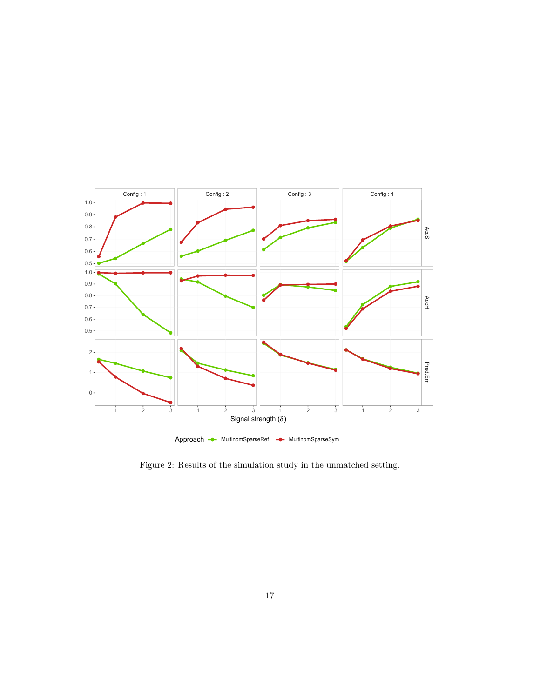

Figure 2: Results of the simulation study in the unmatched setting.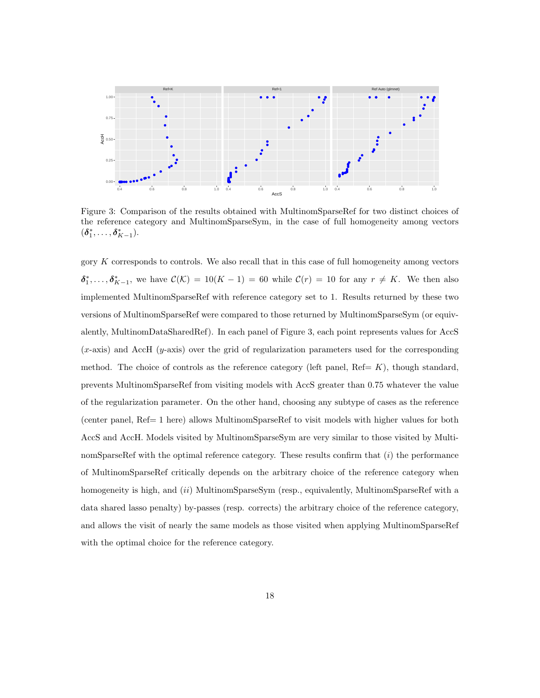

Figure 3: Comparison of the results obtained with MultinomSparseRef for two distinct choices of the reference category and MultinomSparseSym, in the case of full homogeneity among vectors  $(\delta_1^*, \ldots, \delta_{K-1}^*)$ .

gory  $K$  corresponds to controls. We also recall that in this case of full homogeneity among vectors  $\delta_1^*,\ldots,\delta_{K-1}^*$ , we have  $\mathcal{C}(\mathcal{K}) = 10(K-1) = 60$  while  $\mathcal{C}(r) = 10$  for any  $r \neq K$ . We then also implemented MultinomSparseRef with reference category set to 1. Results returned by these two versions of MultinomSparseRef were compared to those returned by MultinomSparseSym (or equivalently, MultinomDataSharedRef). In each panel of Figure 3, each point represents values for AccS  $(x\text{-axis})$  and AccH  $(y\text{-axis})$  over the grid of regularization parameters used for the corresponding method. The choice of controls as the reference category (left panel,  $\text{Ref}= K$ ), though standard, prevents MultinomSparseRef from visiting models with AccS greater than 0.75 whatever the value of the regularization parameter. On the other hand, choosing any subtype of cases as the reference (center panel, Ref= 1 here) allows MultinomSparseRef to visit models with higher values for both AccS and AccH. Models visited by MultinomSparseSym are very similar to those visited by MultinomSparseRef with the optimal reference category. These results confirm that  $(i)$  the performance of MultinomSparseRef critically depends on the arbitrary choice of the reference category when homogeneity is high, and *(ii)* MultinomSparseSym (resp., equivalently, MultinomSparseRef with a data shared lasso penalty) by-passes (resp. corrects) the arbitrary choice of the reference category, and allows the visit of nearly the same models as those visited when applying MultinomSparseRef with the optimal choice for the reference category.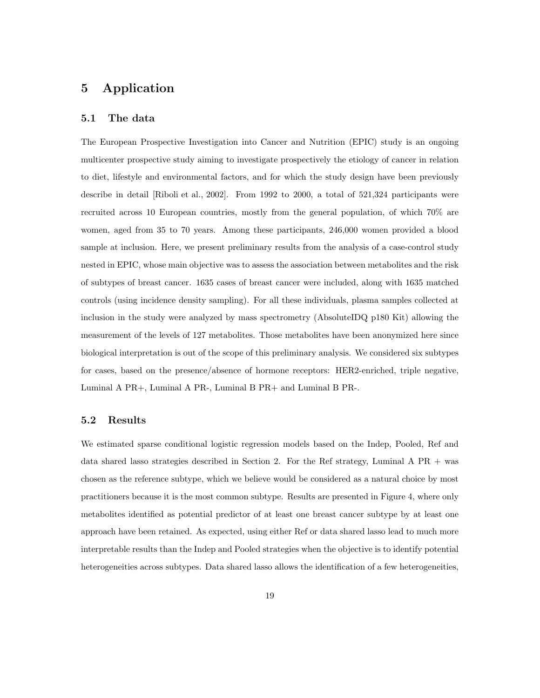# 5 Application

#### 5.1 The data

The European Prospective Investigation into Cancer and Nutrition (EPIC) study is an ongoing multicenter prospective study aiming to investigate prospectively the etiology of cancer in relation to diet, lifestyle and environmental factors, and for which the study design have been previously describe in detail [Riboli et al., 2002]. From 1992 to 2000, a total of 521,324 participants were recruited across 10 European countries, mostly from the general population, of which 70% are women, aged from 35 to 70 years. Among these participants, 246,000 women provided a blood sample at inclusion. Here, we present preliminary results from the analysis of a case-control study nested in EPIC, whose main objective was to assess the association between metabolites and the risk of subtypes of breast cancer. 1635 cases of breast cancer were included, along with 1635 matched controls (using incidence density sampling). For all these individuals, plasma samples collected at inclusion in the study were analyzed by mass spectrometry (AbsoluteIDQ p180 Kit) allowing the measurement of the levels of 127 metabolites. Those metabolites have been anonymized here since biological interpretation is out of the scope of this preliminary analysis. We considered six subtypes for cases, based on the presence/absence of hormone receptors: HER2-enriched, triple negative, Luminal A PR+, Luminal A PR-, Luminal B PR+ and Luminal B PR-.

#### 5.2 Results

We estimated sparse conditional logistic regression models based on the Indep, Pooled, Ref and data shared lasso strategies described in Section 2. For the Ref strategy, Luminal A PR + was chosen as the reference subtype, which we believe would be considered as a natural choice by most practitioners because it is the most common subtype. Results are presented in Figure 4, where only metabolites identified as potential predictor of at least one breast cancer subtype by at least one approach have been retained. As expected, using either Ref or data shared lasso lead to much more interpretable results than the Indep and Pooled strategies when the objective is to identify potential heterogeneities across subtypes. Data shared lasso allows the identification of a few heterogeneities,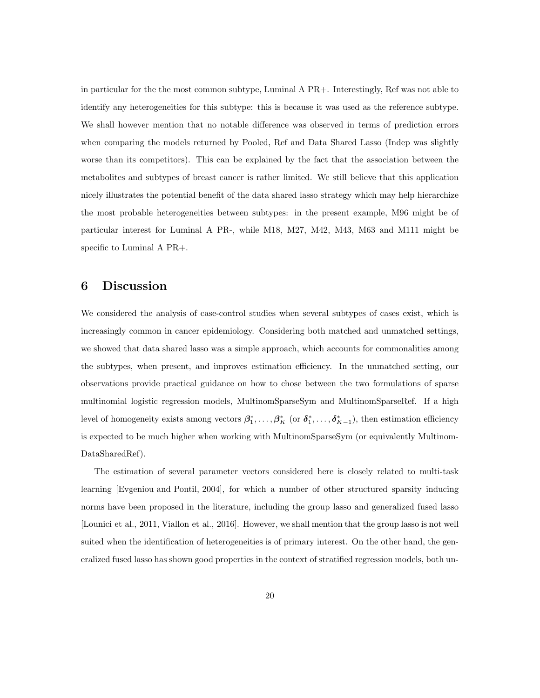in particular for the the most common subtype, Luminal A PR+. Interestingly, Ref was not able to identify any heterogeneities for this subtype: this is because it was used as the reference subtype. We shall however mention that no notable difference was observed in terms of prediction errors when comparing the models returned by Pooled, Ref and Data Shared Lasso (Indep was slightly worse than its competitors). This can be explained by the fact that the association between the metabolites and subtypes of breast cancer is rather limited. We still believe that this application nicely illustrates the potential benefit of the data shared lasso strategy which may help hierarchize the most probable heterogeneities between subtypes: in the present example, M96 might be of particular interest for Luminal A PR-, while M18, M27, M42, M43, M63 and M111 might be specific to Luminal A PR+.

## 6 Discussion

We considered the analysis of case-control studies when several subtypes of cases exist, which is increasingly common in cancer epidemiology. Considering both matched and unmatched settings, we showed that data shared lasso was a simple approach, which accounts for commonalities among the subtypes, when present, and improves estimation efficiency. In the unmatched setting, our observations provide practical guidance on how to chose between the two formulations of sparse multinomial logistic regression models, MultinomSparseSym and MultinomSparseRef. If a high level of homogeneity exists among vectors  $\beta_1^*,\ldots,\beta_K^*$  (or  $\delta_1^*,\ldots,\delta_{K-1}^*$ ), then estimation efficiency is expected to be much higher when working with MultinomSparseSym (or equivalently Multinom-DataSharedRef).

The estimation of several parameter vectors considered here is closely related to multi-task learning [Evgeniou and Pontil, 2004], for which a number of other structured sparsity inducing norms have been proposed in the literature, including the group lasso and generalized fused lasso [Lounici et al., 2011, Viallon et al., 2016]. However, we shall mention that the group lasso is not well suited when the identification of heterogeneities is of primary interest. On the other hand, the generalized fused lasso has shown good properties in the context of stratified regression models, both un-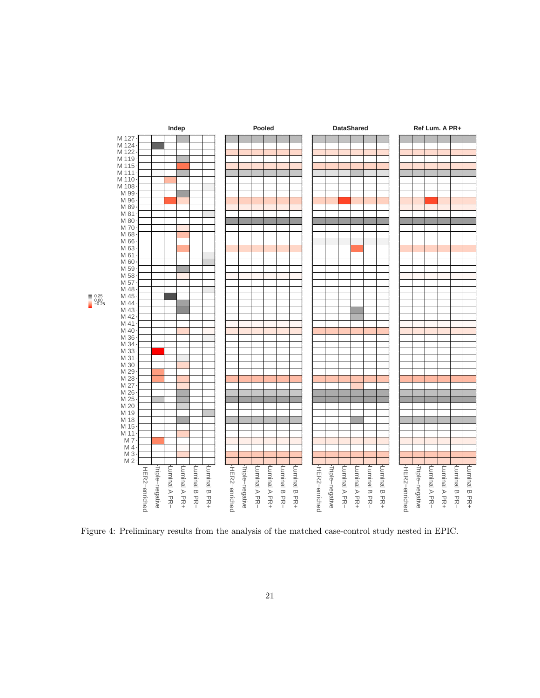

Figure 4: Preliminary results from the analysis of the matched case-control study nested in EPIC.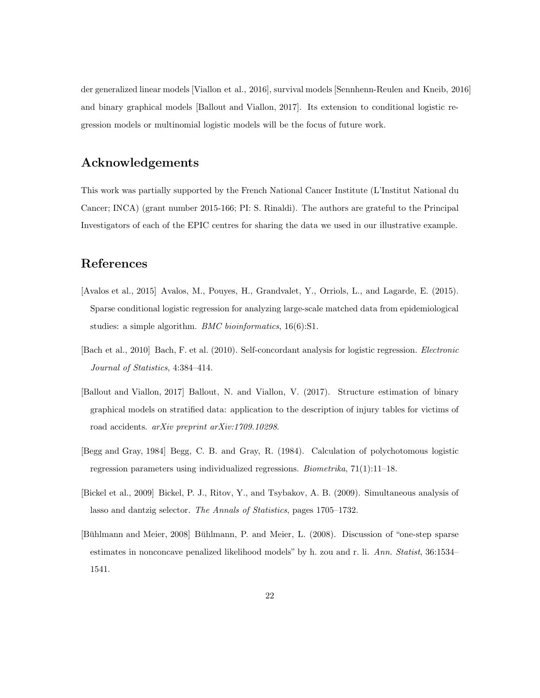der generalized linear models [Viallon et al., 2016], survival models [Sennhenn-Reulen and Kneib, 2016] and binary graphical models [Ballout and Viallon, 2017]. Its extension to conditional logistic regression models or multinomial logistic models will be the focus of future work.

# Acknowledgements

This work was partially supported by the French National Cancer Institute (L'Institut National du Cancer; INCA) (grant number 2015-166; PI: S. Rinaldi). The authors are grateful to the Principal Investigators of each of the EPIC centres for sharing the data we used in our illustrative example.

# References

- [Avalos et al., 2015] Avalos, M., Pouyes, H., Grandvalet, Y., Orriols, L., and Lagarde, E. (2015). Sparse conditional logistic regression for analyzing large-scale matched data from epidemiological studies: a simple algorithm. *BMC bioinformatics*, 16(6):S1.
- [Bach et al., 2010] Bach, F. et al. (2010). Self-concordant analysis for logistic regression. Electronic Journal of Statistics, 4:384–414.
- [Ballout and Viallon, 2017] Ballout, N. and Viallon, V. (2017). Structure estimation of binary graphical models on stratified data: application to the description of injury tables for victims of road accidents. arXiv preprint arXiv:1709.10298.
- [Begg and Gray, 1984] Begg, C. B. and Gray, R. (1984). Calculation of polychotomous logistic regression parameters using individualized regressions. Biometrika, 71(1):11–18.
- [Bickel et al., 2009] Bickel, P. J., Ritov, Y., and Tsybakov, A. B. (2009). Simultaneous analysis of lasso and dantzig selector. The Annals of Statistics, pages 1705–1732.
- [Bühlmann and Meier, 2008] Bühlmann, P. and Meier, L. (2008). Discussion of "one-step sparse estimates in nonconcave penalized likelihood models" by h. zou and r. li. Ann. Statist, 36:1534– 1541.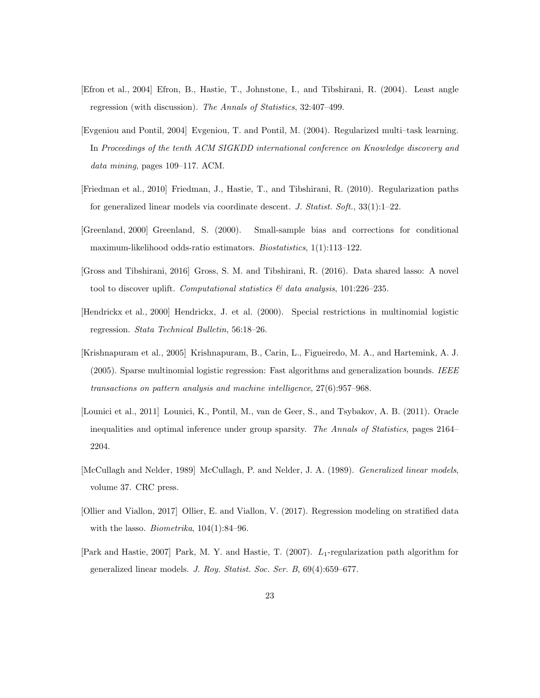- [Efron et al., 2004] Efron, B., Hastie, T., Johnstone, I., and Tibshirani, R. (2004). Least angle regression (with discussion). The Annals of Statistics, 32:407–499.
- [Evgeniou and Pontil, 2004] Evgeniou, T. and Pontil, M. (2004). Regularized multi–task learning. In Proceedings of the tenth ACM SIGKDD international conference on Knowledge discovery and data mining, pages 109–117. ACM.
- [Friedman et al., 2010] Friedman, J., Hastie, T., and Tibshirani, R. (2010). Regularization paths for generalized linear models via coordinate descent. J. Statist. Soft.,  $33(1):1-22$ .
- [Greenland, 2000] Greenland, S. (2000). Small-sample bias and corrections for conditional maximum-likelihood odds-ratio estimators. Biostatistics, 1(1):113–122.
- [Gross and Tibshirani, 2016] Gross, S. M. and Tibshirani, R. (2016). Data shared lasso: A novel tool to discover uplift. Computational statistics  $\mathcal{B}'$  data analysis, 101:226-235.
- [Hendrickx et al., 2000] Hendrickx, J. et al. (2000). Special restrictions in multinomial logistic regression. Stata Technical Bulletin, 56:18–26.
- [Krishnapuram et al., 2005] Krishnapuram, B., Carin, L., Figueiredo, M. A., and Hartemink, A. J.  $(2005)$ . Sparse multinomial logistic regression: Fast algorithms and generalization bounds. IEEE transactions on pattern analysis and machine intelligence, 27(6):957–968.
- [Lounici et al., 2011] Lounici, K., Pontil, M., van de Geer, S., and Tsybakov, A. B. (2011). Oracle inequalities and optimal inference under group sparsity. The Annals of Statistics, pages 2164– 2204.
- [McCullagh and Nelder, 1989] McCullagh, P. and Nelder, J. A. (1989). *Generalized linear models*, volume 37. CRC press.
- [Ollier and Viallon, 2017] Ollier, E. and Viallon, V. (2017). Regression modeling on stratified data with the lasso. *Biometrika*,  $104(1):84-96$ .
- [Park and Hastie, 2007] Park, M. Y. and Hastie, T. (2007).  $L_1$ -regularization path algorithm for generalized linear models. J. Roy. Statist. Soc. Ser. B, 69(4):659–677.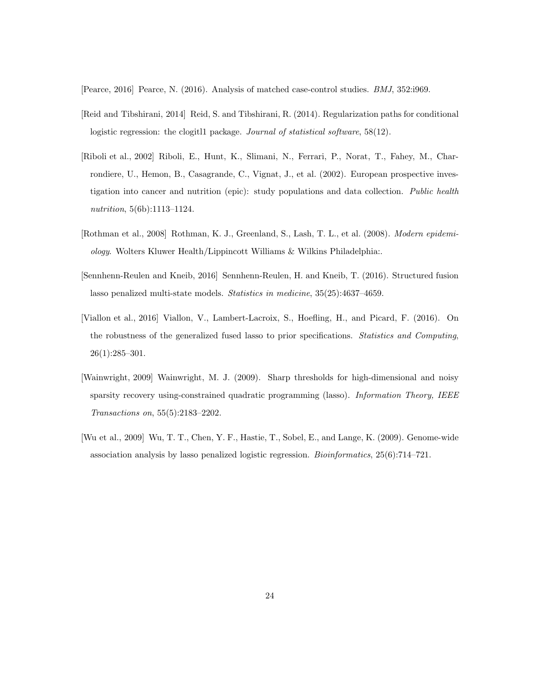[Pearce, 2016] Pearce, N. (2016). Analysis of matched case-control studies. BMJ, 352:i969.

- [Reid and Tibshirani, 2014] Reid, S. and Tibshirani, R. (2014). Regularization paths for conditional logistic regression: the clogitl1 package. Journal of statistical software, 58(12).
- [Riboli et al., 2002] Riboli, E., Hunt, K., Slimani, N., Ferrari, P., Norat, T., Fahey, M., Charrondiere, U., Hemon, B., Casagrande, C., Vignat, J., et al. (2002). European prospective investigation into cancer and nutrition (epic): study populations and data collection. Public health nutrition, 5(6b):1113–1124.
- [Rothman et al., 2008] Rothman, K. J., Greenland, S., Lash, T. L., et al. (2008). Modern epidemiology. Wolters Kluwer Health/Lippincott Williams & Wilkins Philadelphia:.
- [Sennhenn-Reulen and Kneib, 2016] Sennhenn-Reulen, H. and Kneib, T. (2016). Structured fusion lasso penalized multi-state models. Statistics in medicine, 35(25):4637–4659.
- [Viallon et al., 2016] Viallon, V., Lambert-Lacroix, S., Hoefling, H., and Picard, F. (2016). On the robustness of the generalized fused lasso to prior specifications. Statistics and Computing, 26(1):285–301.
- [Wainwright, 2009] Wainwright, M. J. (2009). Sharp thresholds for high-dimensional and noisy sparsity recovery using-constrained quadratic programming (lasso). Information Theory, IEEE Transactions on, 55(5):2183–2202.
- [Wu et al., 2009] Wu, T. T., Chen, Y. F., Hastie, T., Sobel, E., and Lange, K. (2009). Genome-wide association analysis by lasso penalized logistic regression. Bioinformatics, 25(6):714–721.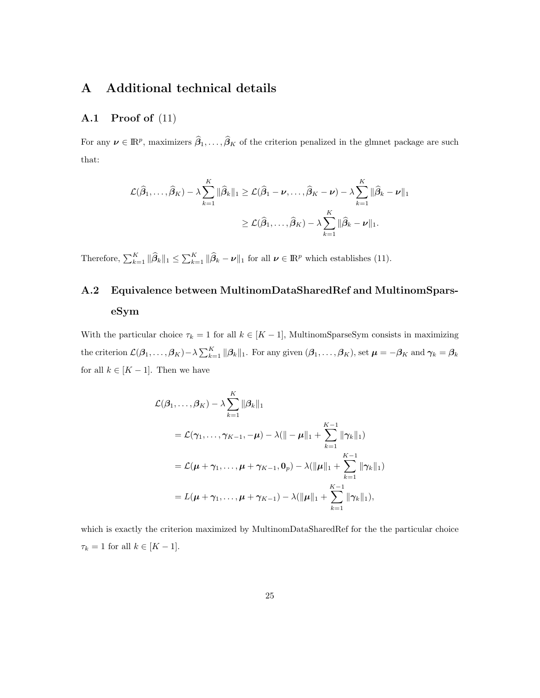# A Additional technical details

### A.1 Proof of (11)

For any  $\boldsymbol{\nu} \in \mathbb{R}^p$ , maximizers  $\widehat{\boldsymbol{\beta}}_1, \ldots, \widehat{\boldsymbol{\beta}}_K$  of the criterion penalized in the glmnet package are such that:

$$
\mathcal{L}(\widehat{\beta}_1, ..., \widehat{\beta}_K) - \lambda \sum_{k=1}^K \|\widehat{\beta}_k\|_1 \ge \mathcal{L}(\widehat{\beta}_1 - \nu, ..., \widehat{\beta}_K - \nu) - \lambda \sum_{k=1}^K \|\widehat{\beta}_k - \nu\|_1
$$
  

$$
\ge \mathcal{L}(\widehat{\beta}_1, ..., \widehat{\beta}_K) - \lambda \sum_{k=1}^K \|\widehat{\beta}_k - \nu\|_1.
$$

Therefore,  $\sum_{k=1}^K \|\widehat{\beta}_k\|_1 \leq \sum_{k=1}^K \|\widehat{\beta}_k - \nu\|_1$  for all  $\nu \in \mathbb{R}^p$  which establishes (11).

# A.2 Equivalence between MultinomDataSharedRef and MultinomSparseSym

With the particular choice  $\tau_k = 1$  for all  $k \in [K - 1]$ , MultinomSparseSym consists in maximizing the criterion  $\mathcal{L}(\beta_1,\ldots,\beta_K) - \lambda \sum_{k=1}^K \|\beta_k\|_1$ . For any given  $(\beta_1,\ldots,\beta_K)$ , set  $\boldsymbol{\mu} = -\beta_K$  and  $\boldsymbol{\gamma}_k = \beta_k$ for all  $k \in [K-1]$ . Then we have

$$
\mathcal{L}(\beta_1, ..., \beta_K) - \lambda \sum_{k=1}^K \|\beta_k\|_1
$$
  
=  $\mathcal{L}(\gamma_1, ..., \gamma_{K-1}, -\mu) - \lambda (\|- \mu\|_1 + \sum_{k=1}^{K-1} \|\gamma_k\|_1)$   
=  $\mathcal{L}(\mu + \gamma_1, ..., \mu + \gamma_{K-1}, 0_p) - \lambda (\|\mu\|_1 + \sum_{k=1}^{K-1} \|\gamma_k\|_1)$   
=  $L(\mu + \gamma_1, ..., \mu + \gamma_{K-1}) - \lambda (\|\mu\|_1 + \sum_{k=1}^{K-1} \|\gamma_k\|_1),$ 

which is exactly the criterion maximized by MultinomDataSharedRef for the the particular choice  $\tau_k = 1$  for all  $k \in [K-1]$ .